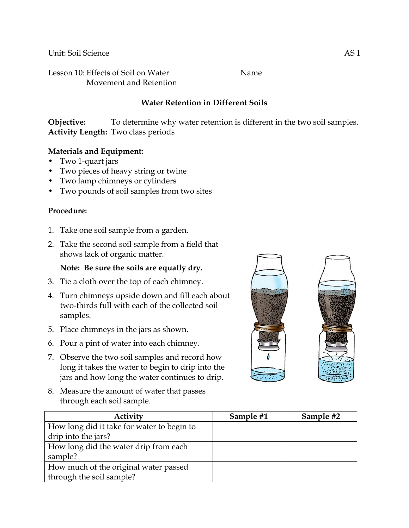Unit: Soil Science AS 1

Lesson 10: Effects of Soil on Water Name Name Movement and Retention

# **Water Retention in Different Soils**

**Objective:** To determine why water retention is different in the two soil samples. **Activity Length:** Two class periods

#### **Materials and Equipment:**

- Two 1-quart jars
- Two pieces of heavy string or twine
- Two lamp chimneys or cylinders
- Two pounds of soil samples from two sites

#### **Procedure:**

- 1. Take one soil sample from a garden.
- 2. Take the second soil sample from a field that shows lack of organic matter.

## **Note: Be sure the soils are equally dry.**

- 3. Tie a cloth over the top of each chimney.
- 4. Turn chimneys upside down and fill each about two-thirds full with each of the collected soil samples.
- 5. Place chimneys in the jars as shown.
- 6. Pour a pint of water into each chimney.
- 7. Observe the two soil samples and record how long it takes the water to begin to drip into the jars and how long the water continues to drip.
- 8. Measure the amount of water that passes through each soil sample.

| Activity                                   | Sample #1 | Sample #2 |
|--------------------------------------------|-----------|-----------|
| How long did it take for water to begin to |           |           |
| drip into the jars?                        |           |           |
| How long did the water drip from each      |           |           |
| sample?                                    |           |           |
| How much of the original water passed      |           |           |
| through the soil sample?                   |           |           |